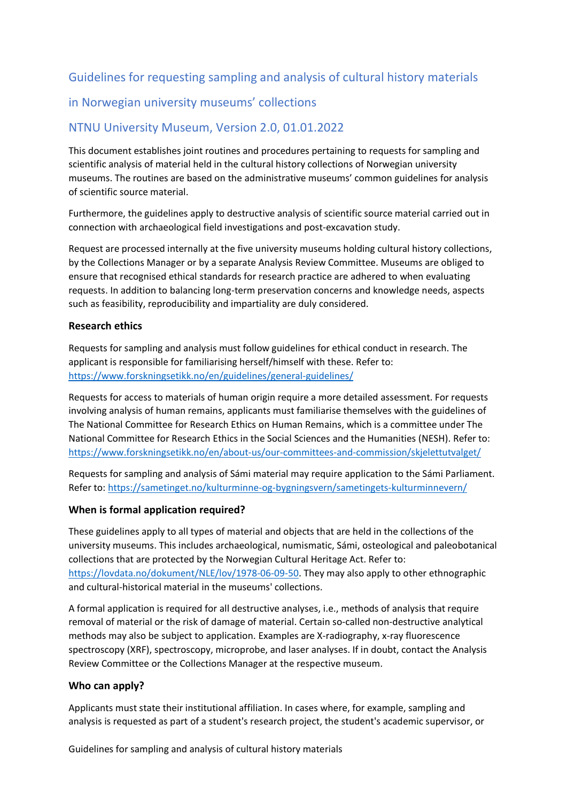# Guidelines for requesting sampling and analysis of cultural history materials

# in Norwegian university museums' collections

## NTNU University Museum, Version 2.0, 01.01.2022

This document establishes joint routines and procedures pertaining to requests for sampling and scientific analysis of material held in the cultural history collections of Norwegian university museums. The routines are based on the administrative museums' common guidelines for analysis of scientific source material.

Furthermore, the guidelines apply to destructive analysis of scientific source material carried out in connection with archaeological field investigations and post-excavation study.

Request are processed internally at the five university museums holding cultural history collections, by the Collections Manager or by a separate Analysis Review Committee. Museums are obliged to ensure that recognised ethical standards for research practice are adhered to when evaluating requests. In addition to balancing long-term preservation concerns and knowledge needs, aspects such as feasibility, reproducibility and impartiality are duly considered.

### **Research ethics**

Requests for sampling and analysis must follow guidelines for ethical conduct in research. The applicant is responsible for familiarising herself/himself with these. Refer to: <https://www.forskningsetikk.no/en/guidelines/general-guidelines/>

Requests for access to materials of human origin require a more detailed assessment. For requests involving analysis of human remains, applicants must familiarise themselves with the guidelines of The National Committee for Research Ethics on Human Remains, which is a committee under The National Committee for Research Ethics in the Social Sciences and the Humanities (NESH). Refer to: <https://www.forskningsetikk.no/en/about-us/our-committees-and-commission/skjelettutvalget/>

Requests for sampling and analysis of Sámi material may require application to the Sámi Parliament. Refer to:<https://sametinget.no/kulturminne-og-bygningsvern/sametingets-kulturminnevern/>

### **When is formal application required?**

These guidelines apply to all types of material and objects that are held in the collections of the university museums. This includes archaeological, numismatic, Sámi, osteological and paleobotanical collections that are protected by the Norwegian Cultural Heritage Act. Refer to: [https://lovdata.no/dokument/NLE/lov/1978-06-09-50.](https://lovdata.no/dokument/NLE/lov/1978-06-09-50) They may also apply to other ethnographic and cultural-historical material in the museums' collections.

A formal application is required for all destructive analyses, i.e., methods of analysis that require removal of material or the risk of damage of material. Certain so-called non-destructive analytical methods may also be subject to application. Examples are X-radiography, x-ray fluorescence spectroscopy (XRF), spectroscopy, microprobe, and laser analyses. If in doubt, contact the Analysis Review Committee or the Collections Manager at the respective museum.

#### **Who can apply?**

Applicants must state their institutional affiliation. In cases where, for example, sampling and analysis is requested as part of a student's research project, the student's academic supervisor, or

Guidelines for sampling and analysis of cultural history materials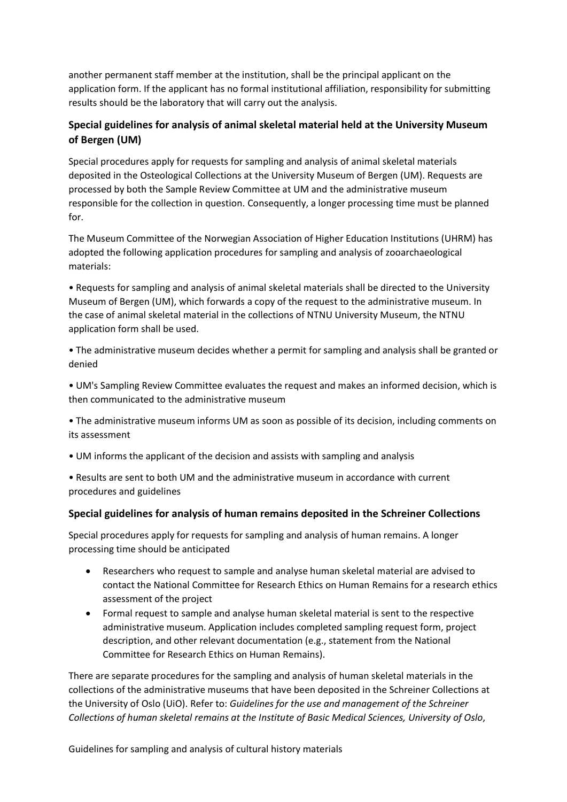another permanent staff member at the institution, shall be the principal applicant on the application form. If the applicant has no formal institutional affiliation, responsibility for submitting results should be the laboratory that will carry out the analysis.

## **Special guidelines for analysis of animal skeletal material held at the University Museum of Bergen (UM)**

Special procedures apply for requests for sampling and analysis of animal skeletal materials deposited in the Osteological Collections at the University Museum of Bergen (UM). Requests are processed by both the Sample Review Committee at UM and the administrative museum responsible for the collection in question. Consequently, a longer processing time must be planned for.

The Museum Committee of the Norwegian Association of Higher Education Institutions (UHRM) has adopted the following application procedures for sampling and analysis of zooarchaeological materials:

• Requests for sampling and analysis of animal skeletal materials shall be directed to the University Museum of Bergen (UM), which forwards a copy of the request to the administrative museum. In the case of animal skeletal material in the collections of NTNU University Museum, the NTNU application form shall be used.

• The administrative museum decides whether a permit for sampling and analysis shall be granted or denied

• UM's Sampling Review Committee evaluates the request and makes an informed decision, which is then communicated to the administrative museum

• The administrative museum informs UM as soon as possible of its decision, including comments on its assessment

• UM informs the applicant of the decision and assists with sampling and analysis

• Results are sent to both UM and the administrative museum in accordance with current procedures and guidelines

### **Special guidelines for analysis of human remains deposited in the Schreiner Collections**

Special procedures apply for requests for sampling and analysis of human remains. A longer processing time should be anticipated

- Researchers who request to sample and analyse human skeletal material are advised to contact the National Committee for Research Ethics on Human Remains for a research ethics assessment of the project
- Formal request to sample and analyse human skeletal material is sent to the respective administrative museum. Application includes completed sampling request form, project description, and other relevant documentation (e.g., statement from the National Committee for Research Ethics on Human Remains).

There are separate procedures for the sampling and analysis of human skeletal materials in the collections of the administrative museums that have been deposited in the Schreiner Collections at the University of Oslo (UiO). Refer to: *Guidelines for the use and management of the Schreiner Collections of human skeletal remains at the Institute of Basic Medical Sciences, University of Oslo*,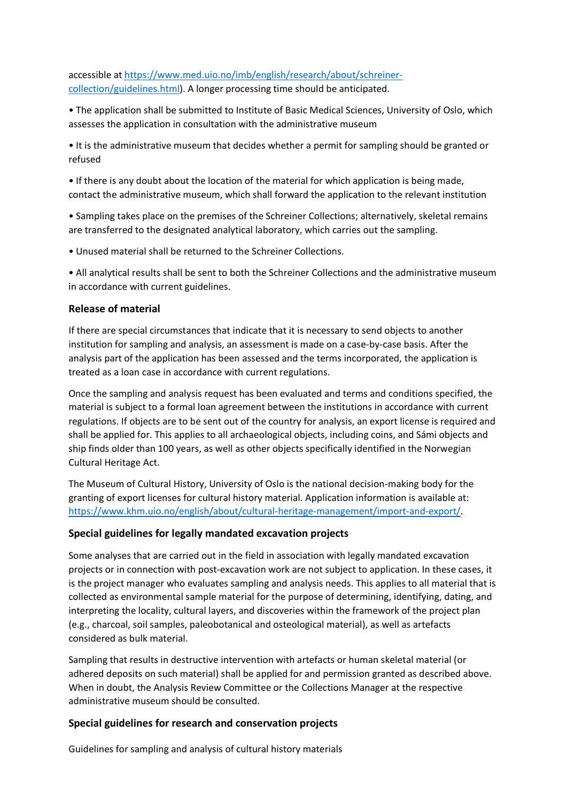accessible at [https://www.med.uio.no/imb/english/research/about/schreiner](https://www.med.uio.no/imb/english/research/about/schreiner-collection/guidelines.html)[collection/guidelines.html\)](https://www.med.uio.no/imb/english/research/about/schreiner-collection/guidelines.html). A longer processing time should be anticipated.

• The application shall be submitted to Institute of Basic Medical Sciences, University of Oslo, which assesses the application in consultation with the administrative museum

• It is the administrative museum that decides whether a permit for sampling should be granted or refused

• If there is any doubt about the location of the material for which application is being made, contact the administrative museum, which shall forward the application to the relevant institution

• Sampling takes place on the premises of the Schreiner Collections; alternatively, skeletal remains are transferred to the designated analytical laboratory, which carries out the sampling.

• Unused material shall be returned to the Schreiner Collections.

• All analytical results shall be sent to both the Schreiner Collections and the administrative museum in accordance with current guidelines.

### **Release of material**

If there are special circumstances that indicate that it is necessary to send objects to another institution for sampling and analysis, an assessment is made on a case-by-case basis. After the analysis part of the application has been assessed and the terms incorporated, the application is treated as a loan case in accordance with current regulations.

Once the sampling and analysis request has been evaluated and terms and conditions specified, the material is subject to a formal loan agreement between the institutions in accordance with current regulations. If objects are to be sent out of the country for analysis, an export license is required and shall be applied for. This applies to all archaeological objects, including coins, and Sámi objects and ship finds older than 100 years, as well as other objects specifically identified in the Norwegian Cultural Heritage Act.

The Museum of Cultural History, University of Oslo is the national decision-making body for the granting of export licenses for cultural history material. Application information is available at: [https://www.khm.uio.no/english/about/cultural-heritage-management/import-and-export/.](https://www.khm.uio.no/english/about/cultural-heritage-management/import-and-export/)

### **Special guidelines for legally mandated excavation projects**

Some analyses that are carried out in the field in association with legally mandated excavation projects or in connection with post-excavation work are not subject to application. In these cases, it is the project manager who evaluates sampling and analysis needs. This applies to all material that is collected as environmental sample material for the purpose of determining, identifying, dating, and interpreting the locality, cultural layers, and discoveries within the framework of the project plan (e.g., charcoal, soil samples, paleobotanical and osteological material), as well as artefacts considered as bulk material.

Sampling that results in destructive intervention with artefacts or human skeletal material (or adhered deposits on such material) shall be applied for and permission granted as described above. When in doubt, the Analysis Review Committee or the Collections Manager at the respective administrative museum should be consulted.

### **Special guidelines for research and conservation projects**

Guidelines for sampling and analysis of cultural history materials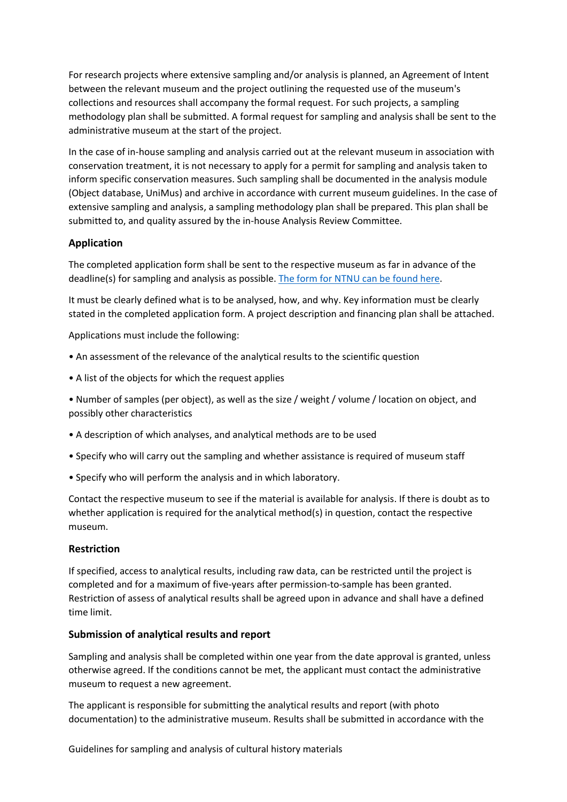For research projects where extensive sampling and/or analysis is planned, an Agreement of Intent between the relevant museum and the project outlining the requested use of the museum's collections and resources shall accompany the formal request. For such projects, a sampling methodology plan shall be submitted. A formal request for sampling and analysis shall be sent to the administrative museum at the start of the project.

In the case of in-house sampling and analysis carried out at the relevant museum in association with conservation treatment, it is not necessary to apply for a permit for sampling and analysis taken to inform specific conservation measures. Such sampling shall be documented in the analysis module (Object database, UniMus) and archive in accordance with current museum guidelines. In the case of extensive sampling and analysis, a sampling methodology plan shall be prepared. This plan shall be submitted to, and quality assured by the in-house Analysis Review Committee.

### **Application**

The completed application form shall be sent to the respective museum as far in advance of the deadline(s) for sampling and analysis as possible. [The form for NTNU can be found here.](https://www.ntnu.edu/documents/140238/1309589277/Application+for+loan+of+objects+from+the+NTNU+University+Museum.pdf/285180a5-369f-623b-5d26-da40032f39e2?t=1642677332210)

It must be clearly defined what is to be analysed, how, and why. Key information must be clearly stated in the completed application form. A project description and financing plan shall be attached.

Applications must include the following:

- An assessment of the relevance of the analytical results to the scientific question
- A list of the objects for which the request applies

• Number of samples (per object), as well as the size / weight / volume / location on object, and possibly other characteristics

- A description of which analyses, and analytical methods are to be used
- Specify who will carry out the sampling and whether assistance is required of museum staff
- Specify who will perform the analysis and in which laboratory.

Contact the respective museum to see if the material is available for analysis. If there is doubt as to whether application is required for the analytical method(s) in question, contact the respective museum.

### **Restriction**

If specified, access to analytical results, including raw data, can be restricted until the project is completed and for a maximum of five-years after permission-to-sample has been granted. Restriction of assess of analytical results shall be agreed upon in advance and shall have a defined time limit.

### **Submission of analytical results and report**

Sampling and analysis shall be completed within one year from the date approval is granted, unless otherwise agreed. If the conditions cannot be met, the applicant must contact the administrative museum to request a new agreement.

The applicant is responsible for submitting the analytical results and report (with photo documentation) to the administrative museum. Results shall be submitted in accordance with the

Guidelines for sampling and analysis of cultural history materials